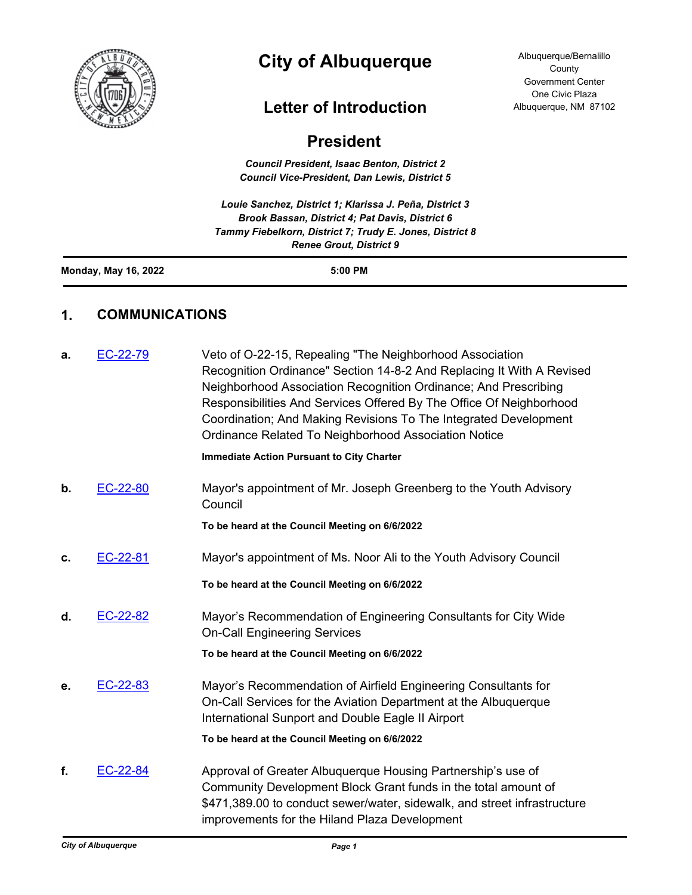

# **City of Albuquerque**

## **Letter of Introduction**

Albuquerque/Bernalillo **County** Government Center One Civic Plaza Albuquerque, NM 87102

## **President**

*Council President, Isaac Benton, District 2 Council Vice-President, Dan Lewis, District 5*

*Louie Sanchez, District 1; Klarissa J. Peña, District 3 Brook Bassan, District 4; Pat Davis, District 6 Tammy Fiebelkorn, District 7; Trudy E. Jones, District 8 Renee Grout, District 9*

| <b>Monday, May 16, 2022</b> | 5:00 PM |
|-----------------------------|---------|
|                             |         |

## **1. COMMUNICATIONS**

| a. | EC-22-79 | Veto of O-22-15, Repealing "The Neighborhood Association<br>Recognition Ordinance" Section 14-8-2 And Replacing It With A Revised<br>Neighborhood Association Recognition Ordinance; And Prescribing<br>Responsibilities And Services Offered By The Office Of Neighborhood<br>Coordination; And Making Revisions To The Integrated Development<br>Ordinance Related To Neighborhood Association Notice |
|----|----------|---------------------------------------------------------------------------------------------------------------------------------------------------------------------------------------------------------------------------------------------------------------------------------------------------------------------------------------------------------------------------------------------------------|
|    |          | <b>Immediate Action Pursuant to City Charter</b>                                                                                                                                                                                                                                                                                                                                                        |
| b. | EC-22-80 | Mayor's appointment of Mr. Joseph Greenberg to the Youth Advisory<br>Council                                                                                                                                                                                                                                                                                                                            |
|    |          | To be heard at the Council Meeting on 6/6/2022                                                                                                                                                                                                                                                                                                                                                          |
| c. | EC-22-81 | Mayor's appointment of Ms. Noor Ali to the Youth Advisory Council                                                                                                                                                                                                                                                                                                                                       |
|    |          | To be heard at the Council Meeting on 6/6/2022                                                                                                                                                                                                                                                                                                                                                          |
| d. | EC-22-82 | Mayor's Recommendation of Engineering Consultants for City Wide<br><b>On-Call Engineering Services</b>                                                                                                                                                                                                                                                                                                  |
|    |          | To be heard at the Council Meeting on 6/6/2022                                                                                                                                                                                                                                                                                                                                                          |
| е. | EC-22-83 | Mayor's Recommendation of Airfield Engineering Consultants for<br>On-Call Services for the Aviation Department at the Albuquerque<br>International Sunport and Double Eagle II Airport                                                                                                                                                                                                                  |
|    |          | To be heard at the Council Meeting on 6/6/2022                                                                                                                                                                                                                                                                                                                                                          |
| f. | EC-22-84 | Approval of Greater Albuquerque Housing Partnership's use of<br>Community Development Block Grant funds in the total amount of<br>\$471,389.00 to conduct sewer/water, sidewalk, and street infrastructure<br>improvements for the Hiland Plaza Development                                                                                                                                             |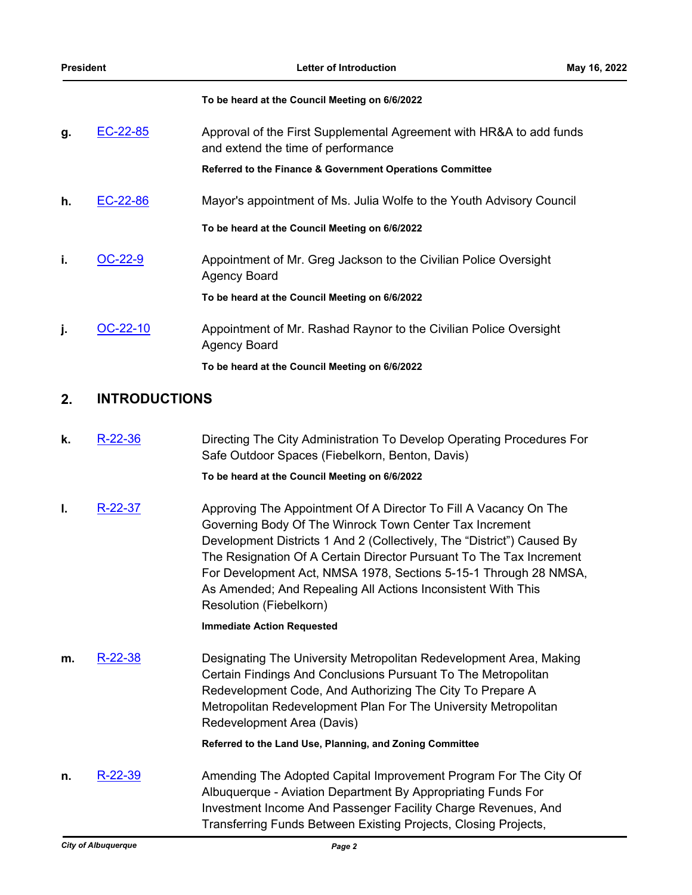#### **To be heard at the Council Meeting on 6/6/2022**

| g. | EC-22-85   | Approval of the First Supplemental Agreement with HR&A to add funds<br>and extend the time of performance |
|----|------------|-----------------------------------------------------------------------------------------------------------|
|    |            | Referred to the Finance & Government Operations Committee                                                 |
| h. | $EC-22-86$ | Mayor's appointment of Ms. Julia Wolfe to the Youth Advisory Council                                      |
|    |            | To be heard at the Council Meeting on 6/6/2022                                                            |
| i. | OC-22-9    | Appointment of Mr. Greg Jackson to the Civilian Police Oversight<br><b>Agency Board</b>                   |
|    |            | To be heard at the Council Meeting on 6/6/2022                                                            |
| ı. | $OC-22-10$ | Appointment of Mr. Rashad Raynor to the Civilian Police Oversight<br><b>Agency Board</b>                  |
|    |            | To be heard at the Council Meeting on 6/6/2022                                                            |

## **2. INTRODUCTIONS**

**k.** [R-22-36](http://cabq.legistar.com/gateway.aspx?m=l&id=/matter.aspx?key=12935) Directing The City Administration To Develop Operating Procedures For Safe Outdoor Spaces (Fiebelkorn, Benton, Davis)

### **To be heard at the Council Meeting on 6/6/2022**

**I.** [R-22-37](http://cabq.legistar.com/gateway.aspx?m=l&id=/matter.aspx?key=12936) Approving The Appointment Of A Director To Fill A Vacancy On The Governing Body Of The Winrock Town Center Tax Increment Development Districts 1 And 2 (Collectively, The "District") Caused By The Resignation Of A Certain Director Pursuant To The Tax Increment For Development Act, NMSA 1978, Sections 5-15-1 Through 28 NMSA, As Amended; And Repealing All Actions Inconsistent With This Resolution (Fiebelkorn)

#### **Immediate Action Requested**

**m.** [R-22-38](http://cabq.legistar.com/gateway.aspx?m=l&id=/matter.aspx?key=12937) **Designating The University Metropolitan Redevelopment Area, Making** Certain Findings And Conclusions Pursuant To The Metropolitan Redevelopment Code, And Authorizing The City To Prepare A Metropolitan Redevelopment Plan For The University Metropolitan Redevelopment Area (Davis)

**Referred to the Land Use, Planning, and Zoning Committee**

**n.** [R-22-39](http://cabq.legistar.com/gateway.aspx?m=l&id=/matter.aspx?key=12938) Amending The Adopted Capital Improvement Program For The City Of Albuquerque - Aviation Department By Appropriating Funds For Investment Income And Passenger Facility Charge Revenues, And Transferring Funds Between Existing Projects, Closing Projects,